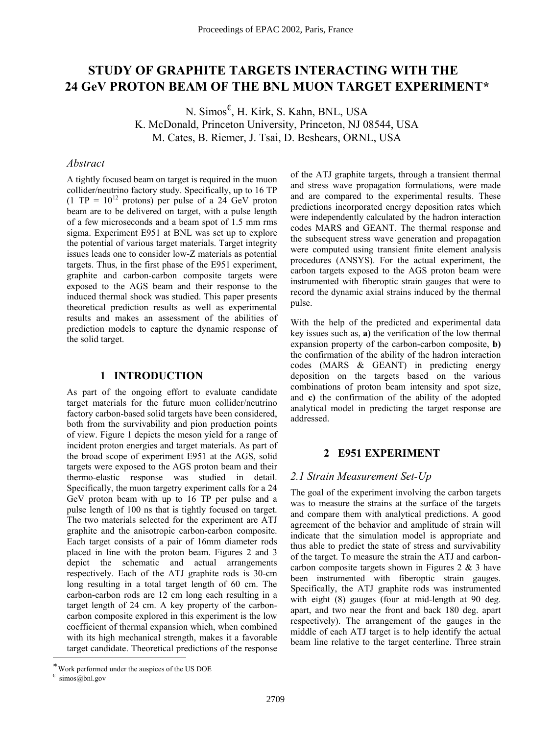# **STUDY OF GRAPHITE TARGETS INTERACTING WITH THE 24 GeV PROTON BEAM OF THE BNL MUON TARGET EXP[E](#page-0-0)RIMENT\***

N. Simos[€](#page-0-1) , H. Kirk, S. Kahn, BNL, USA K. McDonald, Princeton University, Princeton, NJ 08544, USA M. Cates, B. Riemer, J. Tsai, D. Beshears, ORNL, USA

# *Abstract*

A tightly focused beam on target is required in the muon collider/neutrino factory study. Specifically, up to 16 TP  $(1 \text{ TP} = 10^{12} \text{ protons})$  per pulse of a 24 GeV proton beam are to be delivered on target, with a pulse length of a few microseconds and a beam spot of 1.5 mm rms sigma. Experiment E951 at BNL was set up to explore the potential of various target materials. Target integrity issues leads one to consider low-Z materials as potential targets. Thus, in the first phase of the E951 experiment, graphite and carbon-carbon composite targets were exposed to the AGS beam and their response to the induced thermal shock was studied. This paper presents theoretical prediction results as well as experimental results and makes an assessment of the abilities of prediction models to capture the dynamic response of the solid target.

### **1 INTRODUCTION**

As part of the ongoing effort to evaluate candidate target materials for the future muon collider/neutrino factory carbon-based solid targets have been considered, both from the survivability and pion production points of view. Figure 1 depicts the meson yield for a range of incident proton energies and target materials. As part of the broad scope of experiment E951 at the AGS, solid targets were exposed to the AGS proton beam and their thermo-elastic response was studied in detail. Specifically, the muon targetry experiment calls for a 24 GeV proton beam with up to 16 TP per pulse and a pulse length of 100 ns that is tightly focused on target. The two materials selected for the experiment are ATJ graphite and the anisotropic carbon-carbon composite. Each target consists of a pair of 16mm diameter rods placed in line with the proton beam. Figures 2 and 3 depict the schematic and actual arrangements respectively. Each of the ATJ graphite rods is 30-cm long resulting in a total target length of 60 cm. The carbon-carbon rods are 12 cm long each resulting in a target length of 24 cm. A key property of the carboncarbon composite explored in this experiment is the low coefficient of thermal expansion which, when combined with its high mechanical strength, makes it a favorable target candidate. Theoretical predictions of the response

<span id="page-0-1"></span> $∈$  simos@bnl.gov

l

of the ATJ graphite targets, through a transient thermal and stress wave propagation formulations, were made and are compared to the experimental results. These predictions incorporated energy deposition rates which were independently calculated by the hadron interaction codes MARS and GEANT. The thermal response and the subsequent stress wave generation and propagation were computed using transient finite element analysis procedures (ANSYS). For the actual experiment, the carbon targets exposed to the AGS proton beam were instrumented with fiberoptic strain gauges that were to record the dynamic axial strains induced by the thermal pulse.

With the help of the predicted and experimental data key issues such as, **a)** the verification of the low thermal expansion property of the carbon-carbon composite, **b)** the confirmation of the ability of the hadron interaction codes (MARS & GEANT) in predicting energy deposition on the targets based on the various combinations of proton beam intensity and spot size, and **c)** the confirmation of the ability of the adopted analytical model in predicting the target response are addressed.

#### **2 E951 EXPERIMENT**

# *2.1 Strain Measurement Set-Up*

The goal of the experiment involving the carbon targets was to measure the strains at the surface of the targets and compare them with analytical predictions. A good agreement of the behavior and amplitude of strain will indicate that the simulation model is appropriate and thus able to predict the state of stress and survivability of the target. To measure the strain the ATJ and carboncarbon composite targets shown in Figures  $2 \& 3$  have been instrumented with fiberoptic strain gauges. Specifically, the ATJ graphite rods was instrumented with eight (8) gauges (four at mid-length at 90 deg. apart, and two near the front and back 180 deg. apart respectively). The arrangement of the gauges in the middle of each ATJ target is to help identify the actual beam line relative to the target centerline. Three strain

<span id="page-0-0"></span>Work performed under the auspices of the US DOE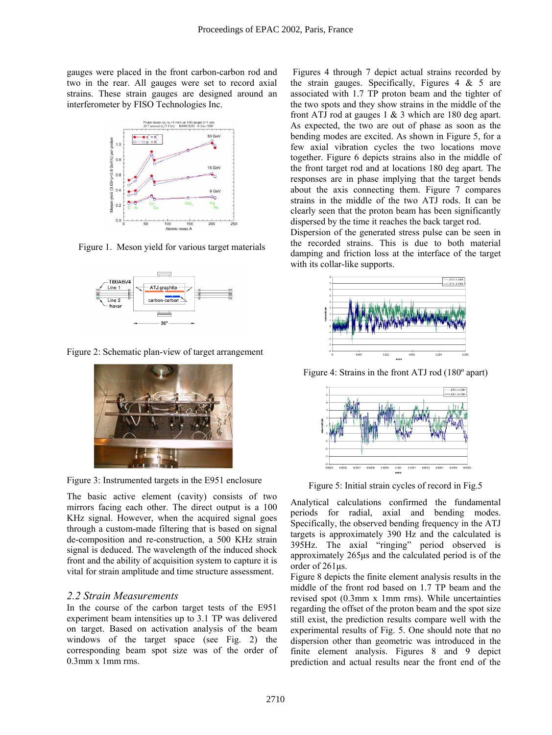gauges were placed in the front carbon-carbon rod and two in the rear. All gauges were set to record axial strains. These strain gauges are designed around an interferometer by FISO Technologies Inc.



Figure 1.Meson yield for various target materials



Figure 2: Schematic plan-view of target arrangement



Figure 3: Instrumented targets in the E951 enclosure

The basic active element (cavity) consists of two mirrors facing each other. The direct output is a 100 KHz signal. However, when the acquired signal goes through a custom-made filtering that is based on signal de-composition and re-construction, a 500 KHz strain signal is deduced. The wavelength of the induced shock front and the ability of acquisition system to capture it is vital for strain amplitude and time structure assessment.

### *2.2 Strain Measurements*

In the course of the carbon target tests of the E951 experiment beam intensities up to 3.1 TP was delivered on target. Based on activation analysis of the beam windows of the target space (see Fig. 2) the corresponding beam spot size was of the order of 0.3mm x 1mm rms.

Figures 4 through 7 depict actual strains recorded by the strain gauges. Specifically, Figures  $4 \& 5$  are associated with 1.7 TP proton beam and the tighter of the two spots and they show strains in the middle of the front ATJ rod at gauges 1 & 3 which are 180 deg apart. As expected, the two are out of phase as soon as the bending modes are excited. As shown in Figure 5, for a few axial vibration cycles the two locations move together. Figure 6 depicts strains also in the middle of the front target rod and at locations 180 deg apart. The responses are in phase implying that the target bends about the axis connecting them. Figure 7 compares strains in the middle of the two ATJ rods. It can be clearly seen that the proton beam has been significantly dispersed by the time it reaches the back target rod.

Dispersion of the generated stress pulse can be seen in the recorded strains. This is due to both material damping and friction loss at the interface of the target with its collar-like supports.



Figure 4: Strains in the front ATJ rod (180º apart)



Figure 5: Initial strain cycles of record in Fig.5

Analytical calculations confirmed the fundamental periods for radial, axial and bending modes. Specifically, the observed bending frequency in the ATJ targets is approximately 390 Hz and the calculated is 395Hz. The axial "ringing" period observed is approximately 265µs and the calculated period is of the order of 261µs.

Figure 8 depicts the finite element analysis results in the middle of the front rod based on 1.7 TP beam and the revised spot (0.3mm x 1mm rms). While uncertainties regarding the offset of the proton beam and the spot size still exist, the prediction results compare well with the experimental results of Fig. 5. One should note that no dispersion other than geometric was introduced in the finite element analysis. Figures 8 and 9 depict prediction and actual results near the front end of the